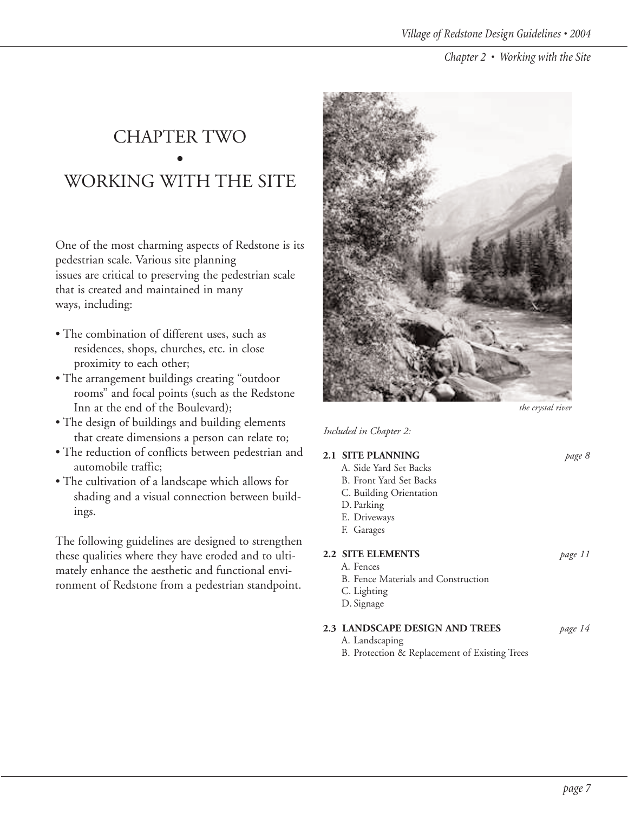## CHAPTER TWO • WORKING WITH THE SITE

One of the most charming aspects of Redstone is its pedestrian scale. Various site planning issues are critical to preserving the pedestrian scale that is created and maintained in many ways, including:

- The combination of different uses, such as residences, shops, churches, etc. in close proximity to each other;
- The arrangement buildings creating "outdoor rooms" and focal points (such as the Redstone Inn at the end of the Boulevard);
- The design of buildings and building elements that create dimensions a person can relate to;
- The reduction of conflicts between pedestrian and automobile traffic;
- The cultivation of a landscape which allows for shading and a visual connection between buildings.

The following guidelines are designed to strengthen these qualities where they have eroded and to ultimately enhance the aesthetic and functional environment of Redstone from a pedestrian standpoint.



*the crystal river*

*Included in Chapter 2:*

| 2.1 SITE PLANNING                   | page 8  |
|-------------------------------------|---------|
| A. Side Yard Set Backs              |         |
| B. Front Yard Set Backs             |         |
| C. Building Orientation             |         |
| D. Parking                          |         |
| E. Driveways                        |         |
| F. Garages                          |         |
| <b>2.2 SITE ELEMENTS</b>            | page 11 |
| A. Fences                           |         |
| B. Fence Materials and Construction |         |
| $\bigcap$ Lighting                  |         |

C. Lighting D. Signage

## **2.3 LANDSCAPE DESIGN AND TREES** *page 14*

- A. Landscaping
- B. Protection & Replacement of Existing Trees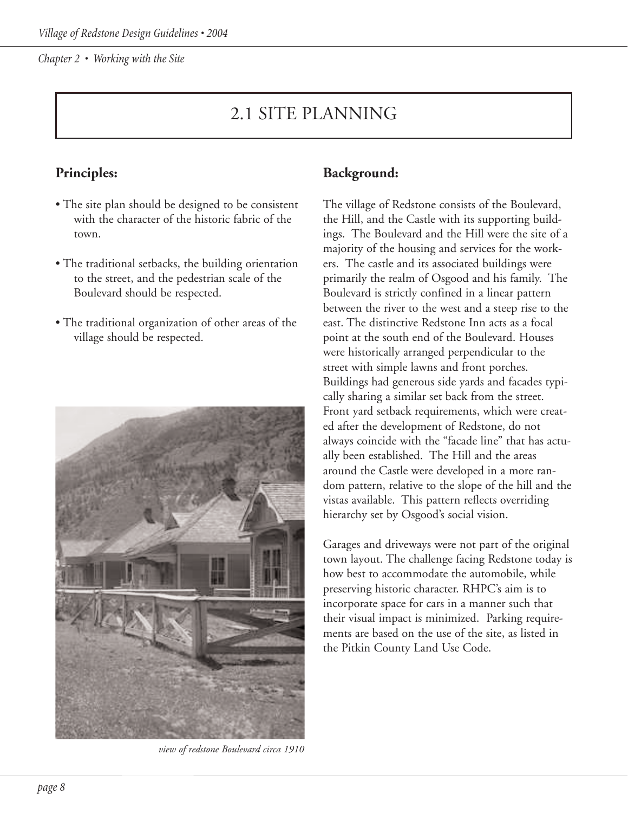## 2.1 SITE PLANNING

## **Principles:**

- The site plan should be designed to be consistent with the character of the historic fabric of the town.
- The traditional setbacks, the building orientation to the street, and the pedestrian scale of the Boulevard should be respected.
- The traditional organization of other areas of the village should be respected.



*view of redstone Boulevard circa 1910*

#### **Background:**

The village of Redstone consists of the Boulevard, the Hill, and the Castle with its supporting buildings. The Boulevard and the Hill were the site of a majority of the housing and services for the workers. The castle and its associated buildings were primarily the realm of Osgood and his family. The Boulevard is strictly confined in a linear pattern between the river to the west and a steep rise to the east. The distinctive Redstone Inn acts as a focal point at the south end of the Boulevard. Houses were historically arranged perpendicular to the street with simple lawns and front porches. Buildings had generous side yards and facades typically sharing a similar set back from the street. Front yard setback requirements, which were created after the development of Redstone, do not always coincide with the "facade line" that has actually been established. The Hill and the areas around the Castle were developed in a more random pattern, relative to the slope of the hill and the vistas available. This pattern reflects overriding hierarchy set by Osgood's social vision.

Garages and driveways were not part of the original town layout. The challenge facing Redstone today is how best to accommodate the automobile, while preserving historic character. RHPC's aim is to incorporate space for cars in a manner such that their visual impact is minimized. Parking requirements are based on the use of the site, as listed in the Pitkin County Land Use Code.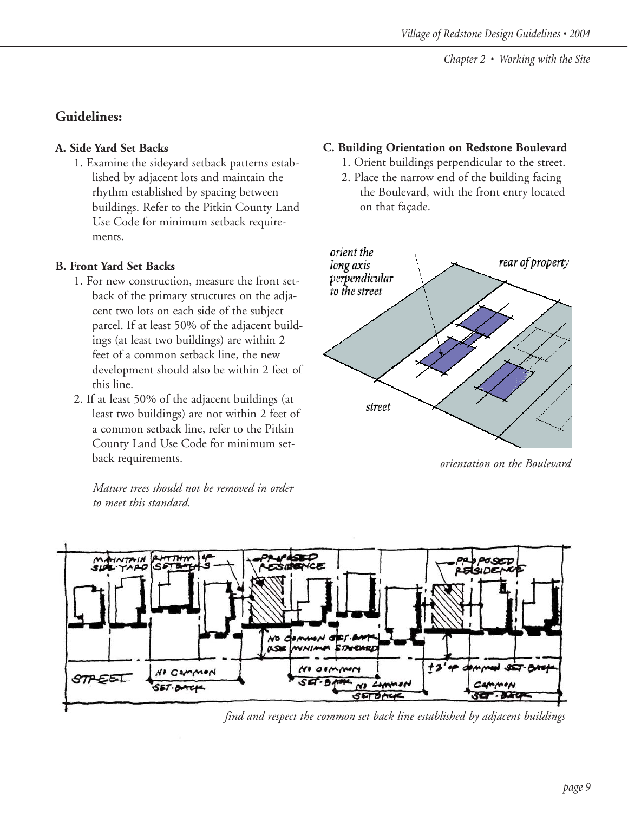## **Guidelines:**

#### **A. Side Yard Set Backs**

1. Examine the sideyard setback patterns established by adjacent lots and maintain the rhythm established by spacing between buildings. Refer to the Pitkin County Land Use Code for minimum setback requirements.

#### **B. Front Yard Set Backs**

- 1. For new construction, measure the front setback of the primary structures on the adjacent two lots on each side of the subject parcel. If at least 50% of the adjacent buildings (at least two buildings) are within 2 feet of a common setback line, the new development should also be within 2 feet of this line.
- 2. If at least 50% of the adjacent buildings (at least two buildings) are not within 2 feet of a common setback line, refer to the Pitkin County Land Use Code for minimum setback requirements.

*Mature trees should not be removed in order to meet this standard.*

## **C. Building Orientation on Redstone Boulevard**

- 1. Orient buildings perpendicular to the street.
- 2. Place the narrow end of the building facing the Boulevard, with the front entry located on that façade.



*orientation on the Boulevard*



*find and respect the common set back line established by adjacent buildings*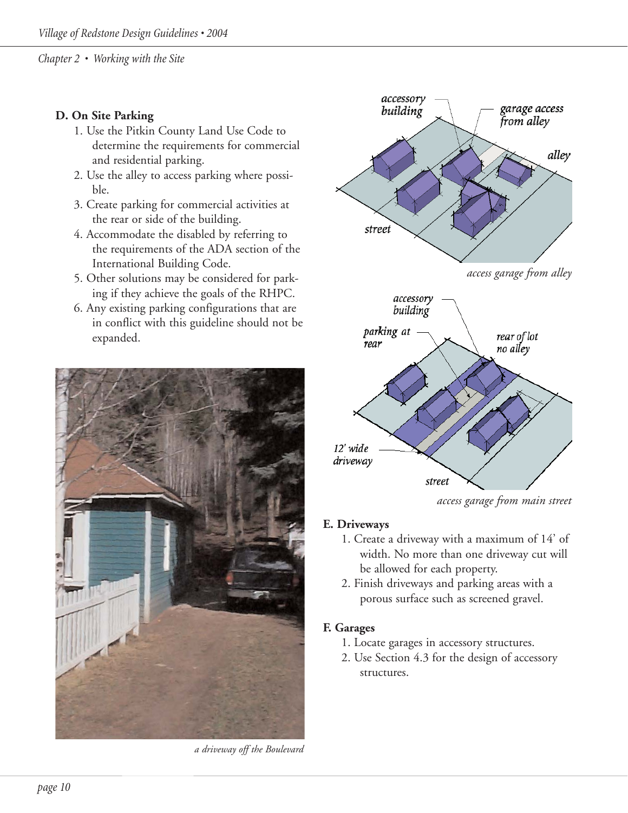#### **D. On Site Parking**

- 1. Use the Pitkin County Land Use Code to determine the requirements for commercial and residential parking.
- 2. Use the alley to access parking where possible.
- 3. Create parking for commercial activities at the rear or side of the building.
- 4. Accommodate the disabled by referring to the requirements of the ADA section of the International Building Code.
- 5. Other solutions may be considered for parking if they achieve the goals of the RHPC.
- 6. Any existing parking configurations that are in conflict with this guideline should not be expanded.



*a driveway off the Boulevard*



*access garage from main street*

#### **E. Driveways**

- 1. Create a driveway with a maximum of 14' of width. No more than one driveway cut will be allowed for each property.
- 2. Finish driveways and parking areas with a porous surface such as screened gravel.

#### **F. Garages**

- 1. Locate garages in accessory structures.
- 2. Use Section 4.3 for the design of accessory structures.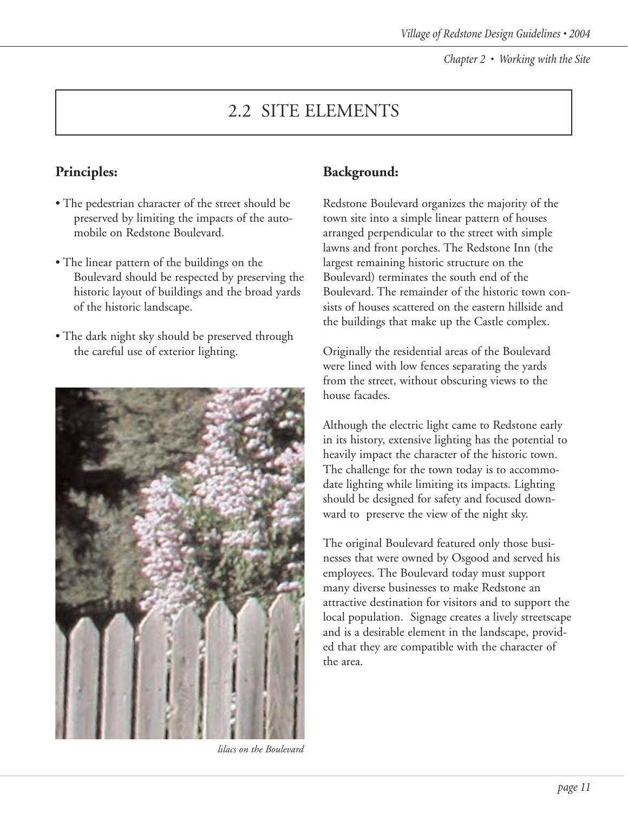# 2.2 SITE ELEMENTS

## **Principles:**

- The pedestrian character of the street should be preserved by limiting the impacts of the automobile on Redstone Boulevard.
- The linear pattern of the buildings on the Boulevard should be respected by preserving the historic layout of buildings and the broad yards of the historic landscape.
- The dark night sky should be preserved through the careful use of exterior lighting.



*lilacs on the Boulevard*

### **Background:**

Redstone Boulevard organizes the majority of the town site into a simple linear pattern of houses arranged perpendicular to the street with simple lawns and front porches. The Redstone Inn (the largest remaining historic structure on the Boulevard) terminates the south end of the Boulevard. The remainder of the historic town consists of houses scattered on the eastern hillside and the buildings that make up the Castle complex.

Originally the residential areas of the Boulevard were lined with low fences separating the yards from the street, without obscuring views to the house facades.

Although the electric light came to Redstone early in its history, extensive lighting has the potential to heavily impact the character of the historic town. The challenge for the town today is to accommodate lighting while limiting its impacts. Lighting should be designed for safety and focused downward to preserve the view of the night sky.

The original Boulevard featured only those businesses that were owned by Osgood and served his employees. The Boulevard today must support many diverse businesses to make Redstone an attractive destination for visitors and to support the local population. Signage creates a lively streetscape and is a desirable element in the landscape, provided that they are compatible with the character of the area.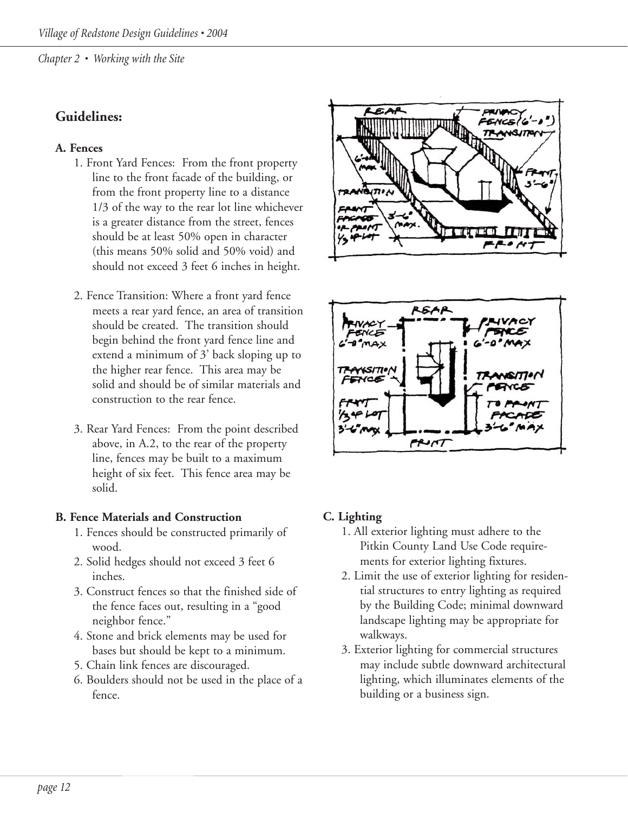### **Guidelines:**

#### **A. Fences**

- 1. Front Yard Fences: From the front property line to the front facade of the building, or from the front property line to a distance 1/3 of the way to the rear lot line whichever is a greater distance from the street, fences should be at least 50% open in character (this means 50% solid and 50% void) and should not exceed 3 feet 6 inches in height.
- 2. Fence Transition: Where a front yard fence meets a rear yard fence, an area of transition should be created. The transition should begin behind the front yard fence line and extend a minimum of 3' back sloping up to the higher rear fence. This area may be solid and should be of similar materials and construction to the rear fence.
- 3. Rear Yard Fences: From the point described above, in A.2, to the rear of the property line, fences may be built to a maximum height of six feet. This fence area may be solid.

#### **B. Fence Materials and Construction**

- 1. Fences should be constructed primarily of wood.
- 2. Solid hedges should not exceed 3 feet 6 inches.
- 3. Construct fences so that the finished side of the fence faces out, resulting in a "good neighbor fence."
- 4. Stone and brick elements may be used for bases but should be kept to a minimum.
- 5. Chain link fences are discouraged.
- 6. Boulders should not be used in the place of a fence.





#### **C. Lighting**

- 1. All exterior lighting must adhere to the Pitkin County Land Use Code requirements for exterior lighting fixtures.
- 2. Limit the use of exterior lighting for residential structures to entry lighting as required by the Building Code; minimal downward landscape lighting may be appropriate for walkways.
- 3. Exterior lighting for commercial structures may include subtle downward architectural lighting, which illuminates elements of the building or a business sign.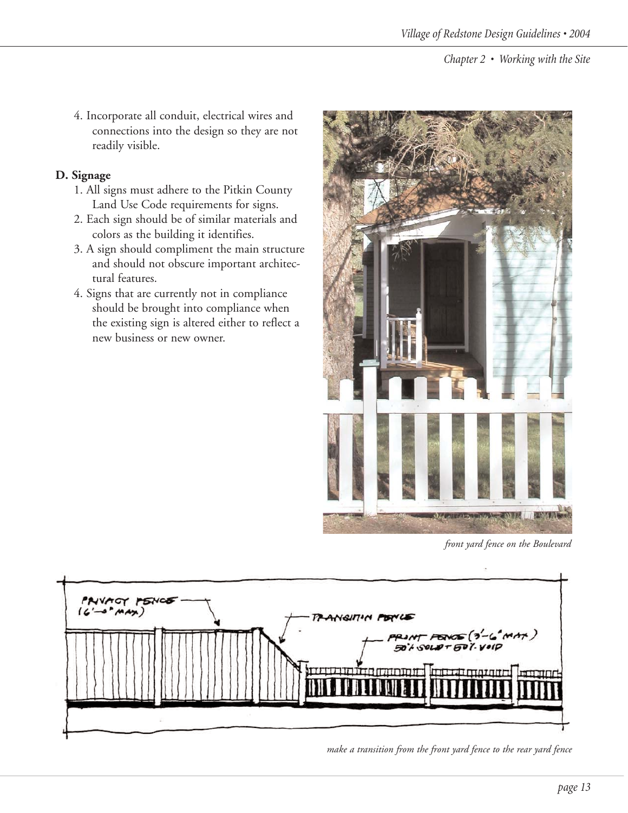4. Incorporate all conduit, electrical wires and connections into the design so they are not readily visible.

#### **D. Signage**

- 1. All signs must adhere to the Pitkin County Land Use Code requirements for signs.
- 2. Each sign should be of similar materials and colors as the building it identifies.
- 3. A sign should compliment the main structure and should not obscure important architectural features.
- 4. Signs that are currently not in compliance should be brought into compliance when the existing sign is altered either to reflect a new business or new owner.



*front yard fence on the Boulevard*



*make a transition from the front yard fence to the rear yard fence*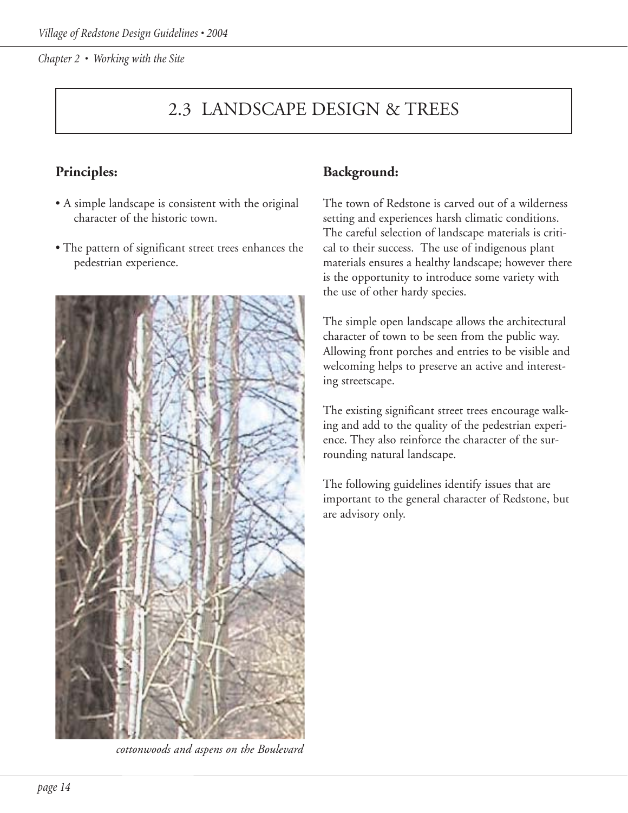## 2.3 LANDSCAPE DESIGN & TREES

## **Principles:**

- A simple landscape is consistent with the original character of the historic town.
- The pattern of significant street trees enhances the pedestrian experience.



*cottonwoods and aspens on the Boulevard*

### **Background:**

The town of Redstone is carved out of a wilderness setting and experiences harsh climatic conditions. The careful selection of landscape materials is critical to their success. The use of indigenous plant materials ensures a healthy landscape; however there is the opportunity to introduce some variety with the use of other hardy species.

The simple open landscape allows the architectural character of town to be seen from the public way. Allowing front porches and entries to be visible and welcoming helps to preserve an active and interesting streetscape.

The existing significant street trees encourage walking and add to the quality of the pedestrian experience. They also reinforce the character of the surrounding natural landscape.

The following guidelines identify issues that are important to the general character of Redstone, but are advisory only.